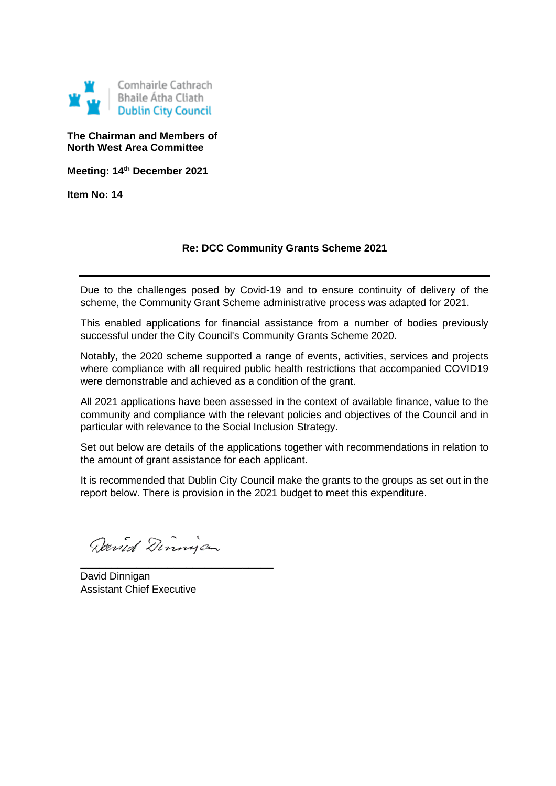

#### **The Chairman and Members of North West Area Committee**

**Meeting: 14th December 2021**

**Item No: 14**

### **Re: DCC Community Grants Scheme 2021**

Due to the challenges posed by Covid-19 and to ensure continuity of delivery of the scheme, the Community Grant Scheme administrative process was adapted for 2021.

This enabled applications for financial assistance from a number of bodies previously successful under the City Council's Community Grants Scheme 2020.

Notably, the 2020 scheme supported a range of events, activities, services and projects where compliance with all required public health restrictions that accompanied COVID19 were demonstrable and achieved as a condition of the grant.

All 2021 applications have been assessed in the context of available finance, value to the community and compliance with the relevant policies and objectives of the Council and in particular with relevance to the Social Inclusion Strategy.

Set out below are details of the applications together with recommendations in relation to the amount of grant assistance for each applicant.

It is recommended that Dublin City Council make the grants to the groups as set out in the report below. There is provision in the 2021 budget to meet this expenditure.

Devid Dinnigan

\_\_\_\_\_\_\_\_\_\_\_\_\_\_\_\_\_\_\_\_\_\_\_\_\_\_\_\_\_\_\_

David Dinnigan Assistant Chief Executive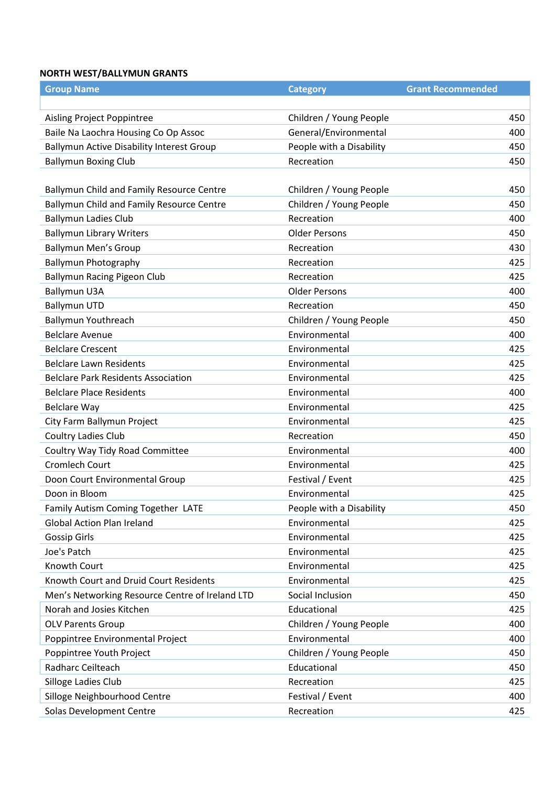#### **NORTH WEST/BALLYMUN GRANTS**

| <b>Group Name</b>                                | <b>Category</b>          | <b>Grant Recommended</b> |     |
|--------------------------------------------------|--------------------------|--------------------------|-----|
|                                                  |                          |                          |     |
| Aisling Project Poppintree                       | Children / Young People  |                          | 450 |
| Baile Na Laochra Housing Co Op Assoc             | General/Environmental    |                          | 400 |
| <b>Ballymun Active Disability Interest Group</b> | People with a Disability |                          | 450 |
| <b>Ballymun Boxing Club</b>                      | Recreation               |                          | 450 |
|                                                  |                          |                          |     |
| Ballymun Child and Family Resource Centre        | Children / Young People  |                          | 450 |
| Ballymun Child and Family Resource Centre        | Children / Young People  |                          | 450 |
| <b>Ballymun Ladies Club</b>                      | Recreation               |                          | 400 |
| <b>Ballymun Library Writers</b>                  | <b>Older Persons</b>     |                          | 450 |
| <b>Ballymun Men's Group</b>                      | Recreation               |                          | 430 |
| <b>Ballymun Photography</b>                      | Recreation               |                          | 425 |
| <b>Ballymun Racing Pigeon Club</b>               | Recreation               |                          | 425 |
| <b>Ballymun U3A</b>                              | <b>Older Persons</b>     |                          | 400 |
| <b>Ballymun UTD</b>                              | Recreation               |                          | 450 |
| <b>Ballymun Youthreach</b>                       | Children / Young People  |                          | 450 |
| <b>Belclare Avenue</b>                           | Environmental            |                          | 400 |
| <b>Belclare Crescent</b>                         | Environmental            |                          | 425 |
| <b>Belclare Lawn Residents</b>                   | Environmental            |                          | 425 |
| <b>Belclare Park Residents Association</b>       | Environmental            |                          | 425 |
| <b>Belclare Place Residents</b>                  | Environmental            |                          | 400 |
| <b>Belclare Way</b>                              | Environmental            |                          | 425 |
| City Farm Ballymun Project                       | Environmental            |                          | 425 |
| Coultry Ladies Club                              | Recreation               |                          | 450 |
| Coultry Way Tidy Road Committee                  | Environmental            |                          | 400 |
| <b>Cromlech Court</b>                            | Environmental            |                          | 425 |
| Doon Court Environmental Group                   | Festival / Event         |                          | 425 |
| Doon in Bloom                                    | Environmental            |                          | 425 |
| Family Autism Coming Together LATE               | People with a Disability |                          | 450 |
| <b>Global Action Plan Ireland</b>                | Environmental            |                          | 425 |
| <b>Gossip Girls</b>                              | Environmental            |                          | 425 |
| Joe's Patch                                      | Environmental            |                          | 425 |
| Knowth Court                                     | Environmental            |                          | 425 |
| Knowth Court and Druid Court Residents           | Environmental            |                          | 425 |
| Men's Networking Resource Centre of Ireland LTD  | Social Inclusion         |                          | 450 |
| Norah and Josies Kitchen                         | Educational              |                          | 425 |
| <b>OLV Parents Group</b>                         | Children / Young People  |                          | 400 |
| Poppintree Environmental Project                 | Environmental            |                          | 400 |
| Poppintree Youth Project                         | Children / Young People  |                          | 450 |
| Radharc Ceilteach                                | Educational              |                          | 450 |
| Silloge Ladies Club                              | Recreation               |                          | 425 |
| Silloge Neighbourhood Centre                     | Festival / Event         |                          | 400 |
| Solas Development Centre                         | Recreation               |                          | 425 |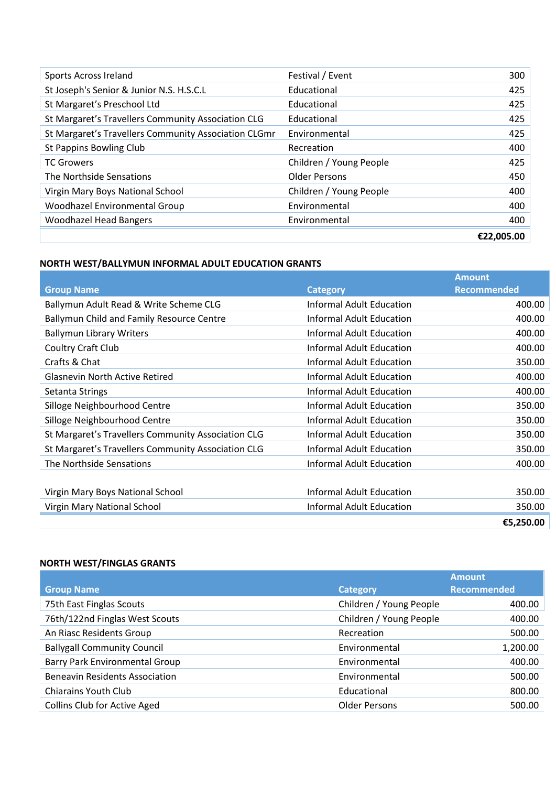|                                                      |                         | €22,005.00 |
|------------------------------------------------------|-------------------------|------------|
| <b>Woodhazel Head Bangers</b>                        | Environmental           | 400        |
| Woodhazel Environmental Group                        | Environmental           | 400        |
| Virgin Mary Boys National School                     | Children / Young People | 400        |
| The Northside Sensations                             | <b>Older Persons</b>    | 450        |
| <b>TC Growers</b>                                    | Children / Young People | 425        |
| St Pappins Bowling Club                              | Recreation              | 400        |
| St Margaret's Travellers Community Association CLGmr | Environmental           | 425        |
| St Margaret's Travellers Community Association CLG   | Educational             | 425        |
| St Margaret's Preschool Ltd                          | Educational             | 425        |
| St Joseph's Senior & Junior N.S. H.S.C.L             | Educational             | 425        |
| Sports Across Ireland                                | Festival / Event        | 300        |

# **NORTH WEST/BALLYMUN INFORMAL ADULT EDUCATION GRANTS**

|                                                    |                                 | <b>Amount</b>      |
|----------------------------------------------------|---------------------------------|--------------------|
| <b>Group Name</b>                                  | <b>Category</b>                 | <b>Recommended</b> |
| Ballymun Adult Read & Write Scheme CLG             | <b>Informal Adult Education</b> | 400.00             |
| Ballymun Child and Family Resource Centre          | <b>Informal Adult Education</b> | 400.00             |
| <b>Ballymun Library Writers</b>                    | Informal Adult Education        | 400.00             |
| Coultry Craft Club                                 | <b>Informal Adult Education</b> | 400.00             |
| Crafts & Chat                                      | <b>Informal Adult Education</b> | 350.00             |
| <b>Glasnevin North Active Retired</b>              | Informal Adult Education        | 400.00             |
| Setanta Strings                                    | Informal Adult Education        | 400.00             |
| Silloge Neighbourhood Centre                       | Informal Adult Education        | 350.00             |
| Silloge Neighbourhood Centre                       | <b>Informal Adult Education</b> | 350.00             |
| St Margaret's Travellers Community Association CLG | <b>Informal Adult Education</b> | 350.00             |
| St Margaret's Travellers Community Association CLG | <b>Informal Adult Education</b> | 350.00             |
| The Northside Sensations                           | Informal Adult Education        | 400.00             |
|                                                    |                                 |                    |
| Virgin Mary Boys National School                   | Informal Adult Education        | 350.00             |
| Virgin Mary National School                        | <b>Informal Adult Education</b> | 350.00             |
|                                                    |                                 | €5,250.00          |

## **NORTH WEST/FINGLAS GRANTS**

|                                       |                         | <b>Amount</b>      |
|---------------------------------------|-------------------------|--------------------|
| <b>Group Name</b>                     | Category                | <b>Recommended</b> |
| 75th East Finglas Scouts              | Children / Young People | 400.00             |
| 76th/122nd Finglas West Scouts        | Children / Young People | 400.00             |
| An Riasc Residents Group              | Recreation              | 500.00             |
| <b>Ballygall Community Council</b>    | Environmental           | 1,200.00           |
| <b>Barry Park Environmental Group</b> | Environmental           | 400.00             |
| <b>Beneavin Residents Association</b> | Environmental           | 500.00             |
| <b>Chiarains Youth Club</b>           | Educational             | 800.00             |
| <b>Collins Club for Active Aged</b>   | <b>Older Persons</b>    | 500.00             |